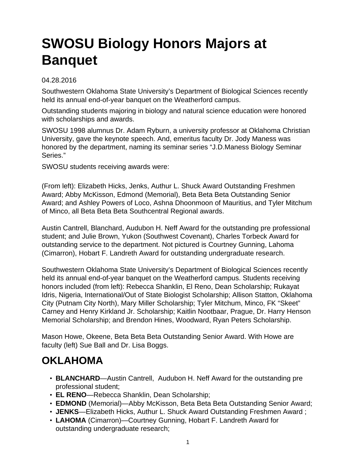## **SWOSU Biology Honors Majors at Banquet**

## 04.28.2016

Southwestern Oklahoma State University's Department of Biological Sciences recently held its annual end-of-year banquet on the Weatherford campus.

Outstanding students majoring in biology and natural science education were honored with scholarships and awards.

SWOSU 1998 alumnus Dr. Adam Ryburn, a university professor at Oklahoma Christian University, gave the keynote speech. And, emeritus faculty Dr. Jody Maness was honored by the department, naming its seminar series "J.D.Maness Biology Seminar Series."

SWOSU students receiving awards were:

(From left): Elizabeth Hicks, Jenks, Authur L. Shuck Award Outstanding Freshmen Award; Abby McKisson, Edmond (Memorial), Beta Beta Beta Outstanding Senior Award; and Ashley Powers of Loco, Ashna Dhoonmoon of Mauritius, and Tyler Mitchum of Minco, all Beta Beta Beta Southcentral Regional awards.

Austin Cantrell, Blanchard, Audubon H. Neff Award for the outstanding pre professional student; and Julie Brown, Yukon (Southwest Covenant), Charles Torbeck Award for outstanding service to the department. Not pictured is Courtney Gunning, Lahoma (Cimarron), Hobart F. Landreth Award for outstanding undergraduate research.

Southwestern Oklahoma State University's Department of Biological Sciences recently held its annual end-of-year banquet on the Weatherford campus. Students receiving honors included (from left): Rebecca Shanklin, El Reno, Dean Scholarship; Rukayat Idris, Nigeria, International/Out of State Biologist Scholarship; Allison Statton, Oklahoma City (Putnam City North), Mary Miller Scholarship; Tyler Mitchum, Minco, FK "Skeet" Carney and Henry Kirkland Jr. Scholarship; Kaitlin Nootbaar, Prague, Dr. Harry Henson Memorial Scholarship; and Brendon Hines, Woodward, Ryan Peters Scholarship.

Mason Howe, Okeene, Beta Beta Beta Outstanding Senior Award. With Howe are faculty (left) Sue Ball and Dr. Lisa Boggs.

## **OKLAHOMA**

- **BLANCHARD**—Austin Cantrell, Audubon H. Neff Award for the outstanding pre professional student;
- **EL RENO**—Rebecca Shanklin, Dean Scholarship;
- **EDMOND** (Memorial)—Abby McKisson, Beta Beta Beta Outstanding Senior Award;
- **JENKS**—Elizabeth Hicks, Authur L. Shuck Award Outstanding Freshmen Award ;
- **LAHOMA** (Cimarron)—Courtney Gunning, Hobart F. Landreth Award for outstanding undergraduate research;